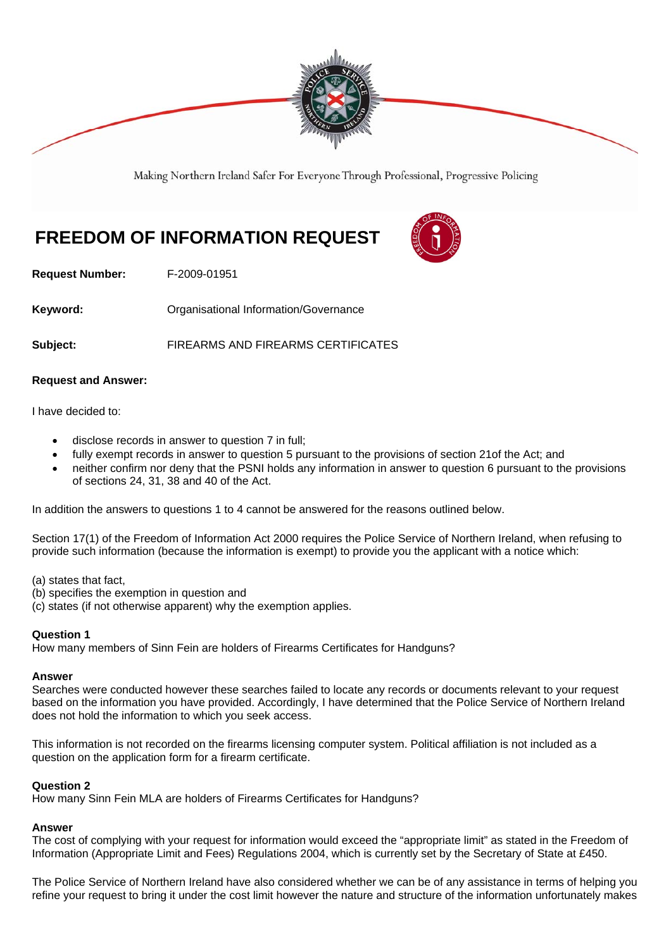

Making Northern Ireland Safer For Everyone Through Professional, Progressive Policing

# **FREEDOM OF INFORMATION REQUEST**



**Request Number:** F-2009-01951

**Keyword: Comparent Comparent Constrainers** Organisational Information/Governance

**Subject:** FIREARMS AND FIREARMS CERTIFICATES

## **Request and Answer:**

I have decided to:

- disclose records in answer to question 7 in full;
- fully exempt records in answer to question 5 pursuant to the provisions of section 21of the Act; and
- neither confirm nor deny that the PSNI holds any information in answer to question 6 pursuant to the provisions of sections 24, 31, 38 and 40 of the Act.

In addition the answers to questions 1 to 4 cannot be answered for the reasons outlined below.

Section 17(1) of the Freedom of Information Act 2000 requires the Police Service of Northern Ireland, when refusing to provide such information (because the information is exempt) to provide you the applicant with a notice which:

(a) states that fact,

- (b) specifies the exemption in question and
- (c) states (if not otherwise apparent) why the exemption applies.

## **Question 1**

How many members of Sinn Fein are holders of Firearms Certificates for Handguns?

#### **Answer**

Searches were conducted however these searches failed to locate any records or documents relevant to your request based on the information you have provided. Accordingly, I have determined that the Police Service of Northern Ireland does not hold the information to which you seek access.

This information is not recorded on the firearms licensing computer system. Political affiliation is not included as a question on the application form for a firearm certificate.

## **Question 2**

How many Sinn Fein MLA are holders of Firearms Certificates for Handguns?

## **Answer**

The cost of complying with your request for information would exceed the "appropriate limit" as stated in the Freedom of Information (Appropriate Limit and Fees) Regulations 2004, which is currently set by the Secretary of State at £450.

The Police Service of Northern Ireland have also considered whether we can be of any assistance in terms of helping you refine your request to bring it under the cost limit however the nature and structure of the information unfortunately makes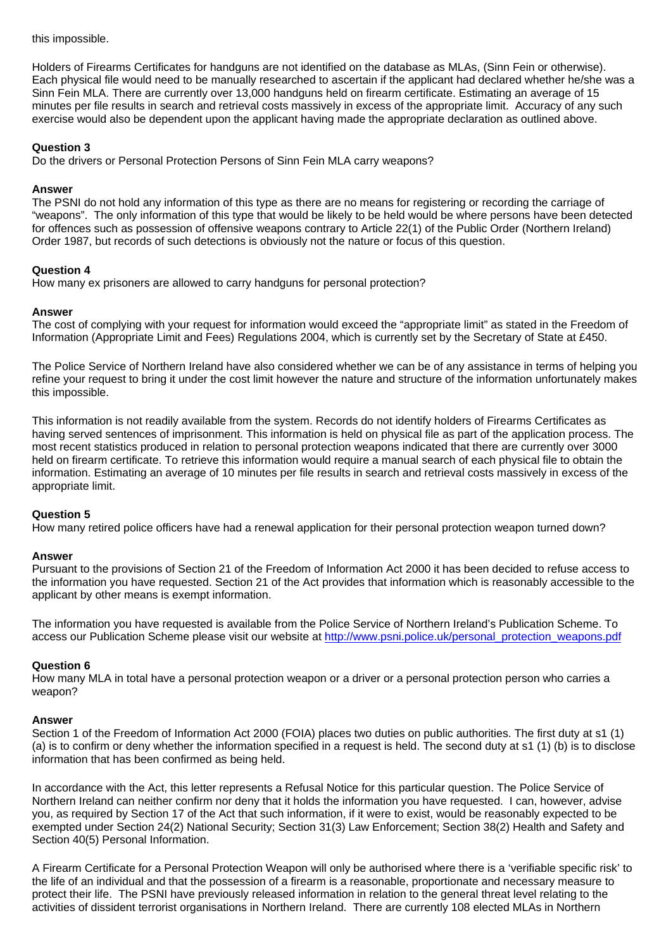this impossible.

Holders of Firearms Certificates for handguns are not identified on the database as MLAs, (Sinn Fein or otherwise). Each physical file would need to be manually researched to ascertain if the applicant had declared whether he/she was a Sinn Fein MLA. There are currently over 13,000 handguns held on firearm certificate. Estimating an average of 15 minutes per file results in search and retrieval costs massively in excess of the appropriate limit. Accuracy of any such exercise would also be dependent upon the applicant having made the appropriate declaration as outlined above.

## **Question 3**

Do the drivers or Personal Protection Persons of Sinn Fein MLA carry weapons?

#### **Answer**

The PSNI do not hold any information of this type as there are no means for registering or recording the carriage of "weapons". The only information of this type that would be likely to be held would be where persons have been detected for offences such as possession of offensive weapons contrary to Article 22(1) of the Public Order (Northern Ireland) Order 1987, but records of such detections is obviously not the nature or focus of this question.

## **Question 4**

How many ex prisoners are allowed to carry handguns for personal protection?

## **Answer**

The cost of complying with your request for information would exceed the "appropriate limit" as stated in the Freedom of Information (Appropriate Limit and Fees) Regulations 2004, which is currently set by the Secretary of State at £450.

The Police Service of Northern Ireland have also considered whether we can be of any assistance in terms of helping you refine your request to bring it under the cost limit however the nature and structure of the information unfortunately makes this impossible.

This information is not readily available from the system. Records do not identify holders of Firearms Certificates as having served sentences of imprisonment. This information is held on physical file as part of the application process. The most recent statistics produced in relation to personal protection weapons indicated that there are currently over 3000 held on firearm certificate. To retrieve this information would require a manual search of each physical file to obtain the information. Estimating an average of 10 minutes per file results in search and retrieval costs massively in excess of the appropriate limit.

## **Question 5**

How many retired police officers have had a renewal application for their personal protection weapon turned down?

#### **Answer**

Pursuant to the provisions of Section 21 of the Freedom of Information Act 2000 it has been decided to refuse access to the information you have requested. Section 21 of the Act provides that information which is reasonably accessible to the applicant by other means is exempt information.

The information you have requested is available from the Police Service of Northern Ireland's Publication Scheme. To access our Publication Scheme please visit our website at http://www.psni.police.uk/personal\_protection\_weapons.pdf

## **Question 6**

How many MLA in total have a personal protection weapon or a driver or a personal protection person who carries a weapon?

#### **Answer**

Section 1 of the Freedom of Information Act 2000 (FOIA) places two duties on public authorities. The first duty at s1 (1) (a) is to confirm or deny whether the information specified in a request is held. The second duty at s1 (1) (b) is to disclose information that has been confirmed as being held.

In accordance with the Act, this letter represents a Refusal Notice for this particular question. The Police Service of Northern Ireland can neither confirm nor deny that it holds the information you have requested. I can, however, advise you, as required by Section 17 of the Act that such information, if it were to exist, would be reasonably expected to be exempted under Section 24(2) National Security; Section 31(3) Law Enforcement; Section 38(2) Health and Safety and Section 40(5) Personal Information.

A Firearm Certificate for a Personal Protection Weapon will only be authorised where there is a 'verifiable specific risk' to the life of an individual and that the possession of a firearm is a reasonable, proportionate and necessary measure to protect their life. The PSNI have previously released information in relation to the general threat level relating to the activities of dissident terrorist organisations in Northern Ireland. There are currently 108 elected MLAs in Northern